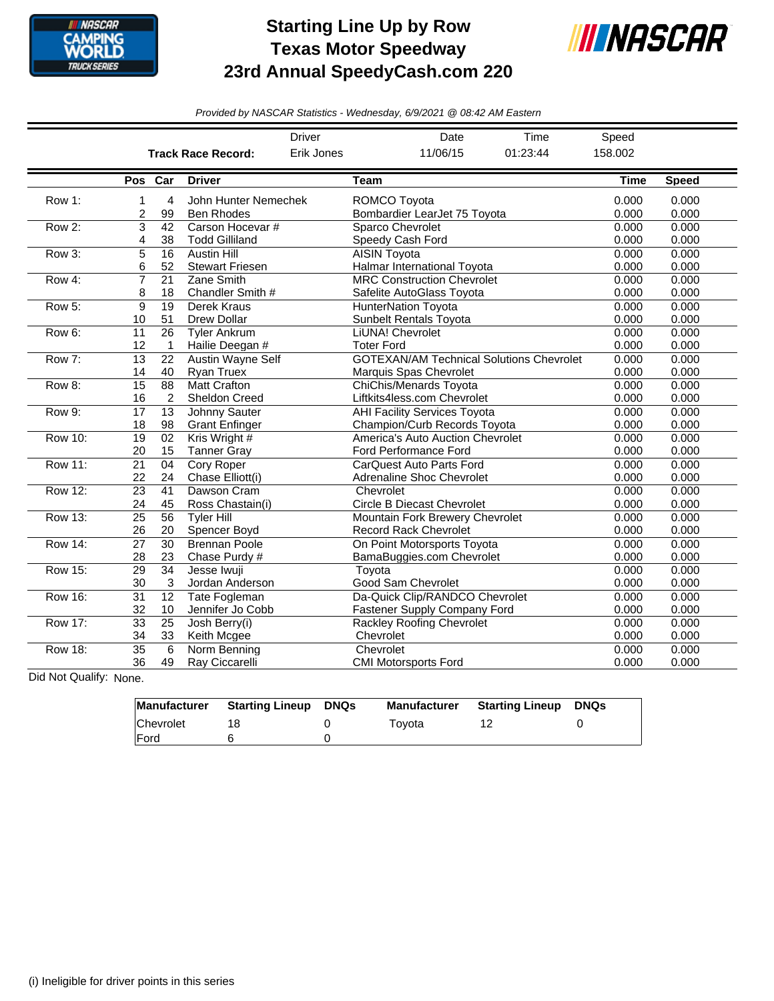

## **Starting Line Up by Row Texas Motor Speedway 23rd Annual SpeedyCash.com 220**



*Provided by NASCAR Statistics - Wednesday, 6/9/2021 @ 08:42 AM Eastern*

|                |                                           |                           |                        | <b>Driver</b> |                                   | Date                                | Time                                            | Speed       |              |
|----------------|-------------------------------------------|---------------------------|------------------------|---------------|-----------------------------------|-------------------------------------|-------------------------------------------------|-------------|--------------|
|                |                                           | <b>Track Race Record:</b> |                        |               |                                   | 11/06/15                            | 01:23:44                                        | 158.002     |              |
|                |                                           | Pos Car                   | <b>Driver</b>          |               | <b>Team</b>                       |                                     |                                                 | <b>Time</b> | <b>Speed</b> |
| Row 1:         | 1                                         | 4                         | John Hunter Nemechek   |               | ROMCO Toyota                      |                                     |                                                 | 0.000       | 0.000        |
|                | $\overline{c}$<br>99<br><b>Ben Rhodes</b> |                           |                        |               |                                   | Bombardier LearJet 75 Toyota        | 0.000                                           | 0.000       |              |
| Row 2:         | 3                                         | 42                        | Carson Hocevar #       |               |                                   | Sparco Chevrolet                    | 0.000                                           | 0.000       |              |
|                | 4                                         | 38                        | <b>Todd Gilliland</b>  |               |                                   | Speedy Cash Ford                    | 0.000                                           | 0.000       |              |
| Row 3:         | 5                                         | 16                        | <b>Austin Hill</b>     |               |                                   | <b>AISIN Toyota</b>                 |                                                 |             | 0.000        |
|                | 6                                         | 52                        | <b>Stewart Friesen</b> |               | Halmar International Toyota       | 0.000                               | 0.000                                           |             |              |
| Row 4:         | $\overline{7}$                            | 21                        | Zane Smith             |               | <b>MRC Construction Chevrolet</b> |                                     |                                                 | 0.000       | 0.000        |
|                | 8                                         | 18                        | Chandler Smith #       |               | Safelite AutoGlass Toyota         |                                     |                                                 | 0.000       | 0.000        |
| <b>Row 5:</b>  | 9                                         | 19                        | Derek Kraus            |               | <b>HunterNation Tovota</b>        |                                     |                                                 | 0.000       | 0.000        |
|                | 10                                        | 51                        | <b>Drew Dollar</b>     |               |                                   | <b>Sunbelt Rentals Toyota</b>       |                                                 | 0.000       | 0.000        |
| Row 6:         | 11                                        | 26                        | <b>Tyler Ankrum</b>    |               | LiUNA! Chevrolet                  |                                     |                                                 | 0.000       | 0.000        |
|                | 12                                        | $\mathbf{1}$              | Hailie Deegan #        |               | <b>Toter Ford</b>                 |                                     |                                                 | 0.000       | 0.000        |
| Row 7:         | 13                                        | 22                        | Austin Wayne Self      |               |                                   |                                     | <b>GOTEXAN/AM Technical Solutions Chevrolet</b> | 0.000       | 0.000        |
|                | 14                                        | 40                        | <b>Rvan Truex</b>      |               |                                   | Marquis Spas Chevrolet              |                                                 | 0.000       | 0.000        |
| Row 8:         | 15                                        | 88                        | <b>Matt Crafton</b>    |               |                                   | <b>ChiChis/Menards Toyota</b>       |                                                 | 0.000       | 0.000        |
|                | 16                                        | 2                         | <b>Sheldon Creed</b>   |               |                                   | Liftkits4less.com Chevrolet         |                                                 | 0.000       | 0.000        |
| Row 9:         | 17                                        | $\overline{13}$           | Johnny Sauter          |               |                                   | <b>AHI Facility Services Toyota</b> |                                                 | 0.000       | 0.000        |
|                | 18                                        | 98                        | <b>Grant Enfinger</b>  |               |                                   | Champion/Curb Records Toyota        |                                                 | 0.000       | 0.000        |
| <b>Row 10:</b> | $\overline{19}$                           | 02                        | Kris Wright #          |               | America's Auto Auction Chevrolet  |                                     |                                                 | 0.000       | 0.000        |
|                | 20                                        | 15                        | <b>Tanner Gray</b>     |               |                                   | Ford Performance Ford               |                                                 | 0.000       | 0.000        |
| <b>Row 11:</b> | 21                                        | 04                        | <b>Cory Roper</b>      |               | CarQuest Auto Parts Ford          |                                     |                                                 | 0.000       | 0.000        |
|                | 22                                        | 24                        | Chase Elliott(i)       |               |                                   | Adrenaline Shoc Chevrolet           |                                                 | 0.000       | 0.000        |
| <b>Row 12:</b> | 23                                        | 41                        | Dawson Cram            |               | Chevrolet                         |                                     |                                                 | 0.000       | 0.000        |
|                | 24                                        | 45                        | Ross Chastain(i)       |               |                                   | <b>Circle B Diecast Chevrolet</b>   |                                                 | 0.000       | 0.000        |
| Row 13:        | $\overline{25}$                           | 56                        | Tyler Hill             |               |                                   | Mountain Fork Brewery Chevrolet     |                                                 | 0.000       | 0.000        |
|                | 26                                        | 20                        | Spencer Boyd           |               |                                   | <b>Record Rack Chevrolet</b>        |                                                 | 0.000       | 0.000        |
| Row 14:        | 27                                        | 30                        | <b>Brennan Poole</b>   |               |                                   | On Point Motorsports Tovota         |                                                 | 0.000       | 0.000        |
|                | 28                                        | 23                        | Chase Purdy #          |               |                                   | BamaBuggies.com Chevrolet           |                                                 | 0.000       | 0.000        |
| Row 15:        | 29                                        | 34                        | Jesse Iwuji            |               | Toyota                            |                                     |                                                 | 0.000       | 0.000        |
|                | 30                                        | 3                         | Jordan Anderson        |               |                                   | Good Sam Chevrolet                  |                                                 | 0.000       | 0.000        |
| <b>Row 16:</b> | $\overline{31}$                           | 12                        | Tate Fogleman          |               |                                   | Da-Quick Clip/RANDCO Chevrolet      |                                                 | 0.000       | 0.000        |
|                | 32                                        | 10                        | Jennifer Jo Cobb       |               |                                   | Fastener Supply Company Ford        |                                                 | 0.000       | 0.000        |
| <b>Row 17:</b> | $\overline{33}$                           | $\overline{25}$           | Josh Berry(i)          |               |                                   | <b>Rackley Roofing Chevrolet</b>    |                                                 | 0.000       | 0.000        |
|                | 34                                        | 33                        | Keith Mcgee            |               | Chevrolet                         |                                     |                                                 | 0.000       | 0.000        |
| Row 18:        | $\overline{35}$                           | 6                         | Norm Benning           |               | Chevrolet                         |                                     |                                                 | 0.000       | 0.000        |
|                | 36                                        | 49                        | Ray Ciccarelli         |               |                                   | <b>CMI Motorsports Ford</b>         |                                                 | 0.000       | 0.000        |

Did Not Qualify: None.

| Manufacturer | <b>Starting Lineup</b> | <b>DNQs</b> | Manufacturer | <b>Starting Lineup</b> | DNQs |
|--------------|------------------------|-------------|--------------|------------------------|------|
| Chevrolet    |                        |             | Tovota       |                        |      |
| <b>IFord</b> |                        |             |              |                        |      |